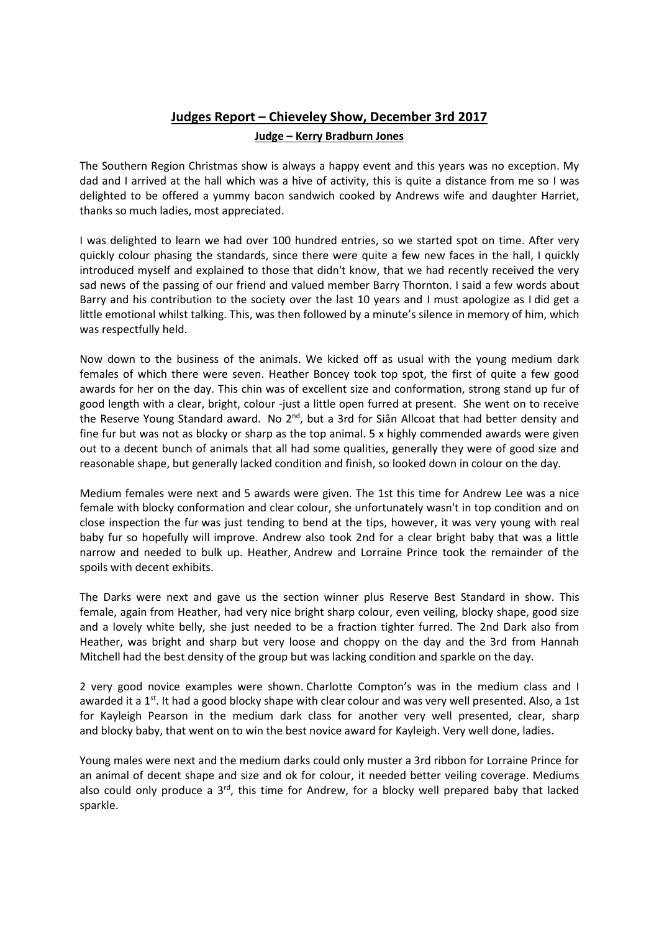## **Judges Report – Chieveley Show, December 3rd 2017 Judge – Kerry Bradburn Jones**

The Southern Region Christmas show is always a happy event and this years was no exception. My dad and I arrived at the hall which was a hive of activity, this is quite a distance from me so I was delighted to be offered a yummy bacon sandwich cooked by Andrews wife and daughter Harriet, thanks so much ladies, most appreciated.

I was delighted to learn we had over 100 hundred entries, so we started spot on time. After very quickly colour phasing the standards, since there were quite a few new faces in the hall, I quickly introduced myself and explained to those that didn't know, that we had recently received the very sad news of the passing of our friend and valued member Barry Thornton. I said a few words about Barry and his contribution to the society over the last 10 years and I must apologize as I did get a little emotional whilst talking. This, was then followed by a minute's silence in memory of him, which was respectfully held.

Now down to the business of the animals. We kicked off as usual with the young medium dark females of which there were seven. Heather Boncey took top spot, the first of quite a few good awards for her on the day. This chin was of excellent size and conformation, strong stand up fur of good length with a clear, bright, colour -just a little open furred at present. She went on to receive the Reserve Young Standard award. No 2<sup>nd</sup>, but a 3rd for Siân Allcoat that had better density and fine fur but was not as blocky or sharp as the top animal. 5 x highly commended awards were given out to a decent bunch of animals that all had some qualities, generally they were of good size and reasonable shape, but generally lacked condition and finish, so looked down in colour on the day.

Medium females were next and 5 awards were given. The 1st this time for Andrew Lee was a nice female with blocky conformation and clear colour, she unfortunately wasn't in top condition and on close inspection the fur was just tending to bend at the tips, however, it was very young with real baby fur so hopefully will improve. Andrew also took 2nd for a clear bright baby that was a little narrow and needed to bulk up. Heather, Andrew and Lorraine Prince took the remainder of the spoils with decent exhibits.

The Darks were next and gave us the section winner plus Reserve Best Standard in show. This female, again from Heather, had very nice bright sharp colour, even veiling, blocky shape, good size and a lovely white belly, she just needed to be a fraction tighter furred. The 2nd Dark also from Heather, was bright and sharp but very loose and choppy on the day and the 3rd from Hannah Mitchell had the best density of the group but was lacking condition and sparkle on the day.

2 very good novice examples were shown. Charlotte Compton's was in the medium class and I awarded it a  $1<sup>st</sup>$ . It had a good blocky shape with clear colour and was very well presented. Also, a 1st for Kayleigh Pearson in the medium dark class for another very well presented, clear, sharp and blocky baby, that went on to win the best novice award for Kayleigh. Very well done, ladies.

Young males were next and the medium darks could only muster a 3rd ribbon for Lorraine Prince for an animal of decent shape and size and ok for colour, it needed better veiling coverage. Mediums also could only produce a 3<sup>rd</sup>, this time for Andrew, for a blocky well prepared baby that lacked sparkle.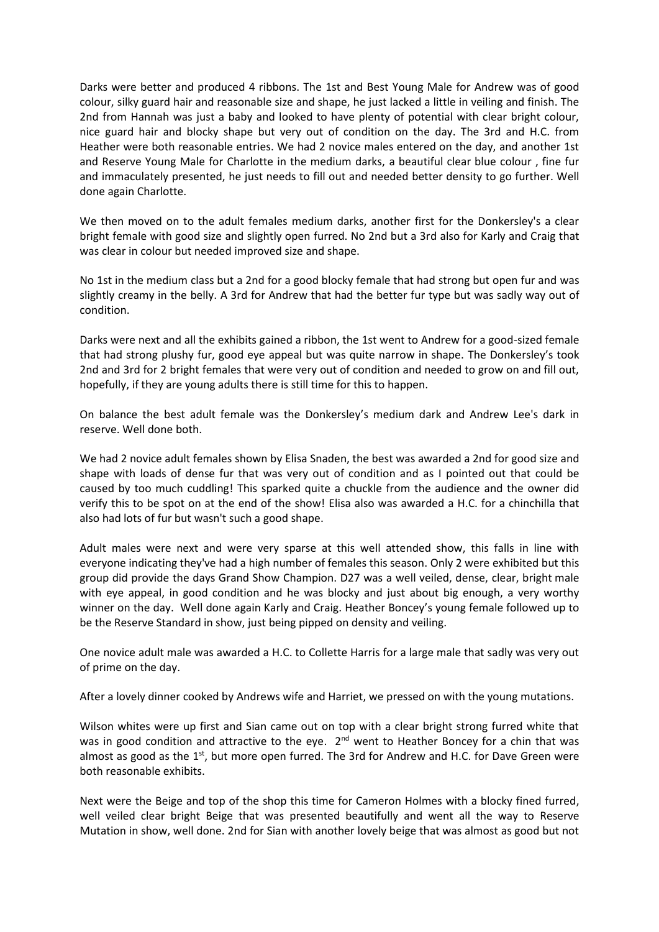Darks were better and produced 4 ribbons. The 1st and Best Young Male for Andrew was of good colour, silky guard hair and reasonable size and shape, he just lacked a little in veiling and finish. The 2nd from Hannah was just a baby and looked to have plenty of potential with clear bright colour, nice guard hair and blocky shape but very out of condition on the day. The 3rd and H.C. from Heather were both reasonable entries. We had 2 novice males entered on the day, and another 1st and Reserve Young Male for Charlotte in the medium darks, a beautiful clear blue colour , fine fur and immaculately presented, he just needs to fill out and needed better density to go further. Well done again Charlotte.

We then moved on to the adult females medium darks, another first for the Donkersley's a clear bright female with good size and slightly open furred. No 2nd but a 3rd also for Karly and Craig that was clear in colour but needed improved size and shape.

No 1st in the medium class but a 2nd for a good blocky female that had strong but open fur and was slightly creamy in the belly. A 3rd for Andrew that had the better fur type but was sadly way out of condition.

Darks were next and all the exhibits gained a ribbon, the 1st went to Andrew for a good-sized female that had strong plushy fur, good eye appeal but was quite narrow in shape. The Donkersley's took 2nd and 3rd for 2 bright females that were very out of condition and needed to grow on and fill out, hopefully, if they are young adults there is still time for this to happen.

On balance the best adult female was the Donkersley's medium dark and Andrew Lee's dark in reserve. Well done both.

We had 2 novice adult females shown by Elisa Snaden, the best was awarded a 2nd for good size and shape with loads of dense fur that was very out of condition and as I pointed out that could be caused by too much cuddling! This sparked quite a chuckle from the audience and the owner did verify this to be spot on at the end of the show! Elisa also was awarded a H.C. for a chinchilla that also had lots of fur but wasn't such a good shape.

Adult males were next and were very sparse at this well attended show, this falls in line with everyone indicating they've had a high number of females this season. Only 2 were exhibited but this group did provide the days Grand Show Champion. D27 was a well veiled, dense, clear, bright male with eye appeal, in good condition and he was blocky and just about big enough, a very worthy winner on the day. Well done again Karly and Craig. Heather Boncey's young female followed up to be the Reserve Standard in show, just being pipped on density and veiling.

One novice adult male was awarded a H.C. to Collette Harris for a large male that sadly was very out of prime on the day.

After a lovely dinner cooked by Andrews wife and Harriet, we pressed on with the young mutations.

Wilson whites were up first and Sian came out on top with a clear bright strong furred white that was in good condition and attractive to the eye. 2<sup>nd</sup> went to Heather Boncey for a chin that was almost as good as the  $1<sup>st</sup>$ , but more open furred. The 3rd for Andrew and H.C. for Dave Green were both reasonable exhibits.

Next were the Beige and top of the shop this time for Cameron Holmes with a blocky fined furred, well veiled clear bright Beige that was presented beautifully and went all the way to Reserve Mutation in show, well done. 2nd for Sian with another lovely beige that was almost as good but not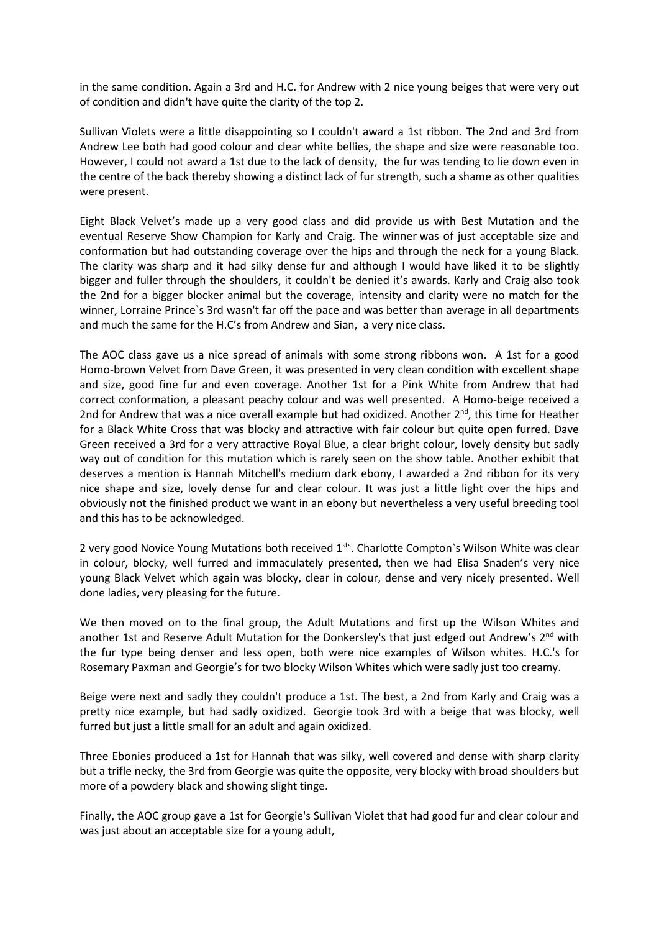in the same condition. Again a 3rd and H.C. for Andrew with 2 nice young beiges that were very out of condition and didn't have quite the clarity of the top 2.

Sullivan Violets were a little disappointing so I couldn't award a 1st ribbon. The 2nd and 3rd from Andrew Lee both had good colour and clear white bellies, the shape and size were reasonable too. However, I could not award a 1st due to the lack of density, the fur was tending to lie down even in the centre of the back thereby showing a distinct lack of fur strength, such a shame as other qualities were present.

Eight Black Velvet's made up a very good class and did provide us with Best Mutation and the eventual Reserve Show Champion for Karly and Craig. The winner was of just acceptable size and conformation but had outstanding coverage over the hips and through the neck for a young Black. The clarity was sharp and it had silky dense fur and although I would have liked it to be slightly bigger and fuller through the shoulders, it couldn't be denied it's awards. Karly and Craig also took the 2nd for a bigger blocker animal but the coverage, intensity and clarity were no match for the winner, Lorraine Prince`s 3rd wasn't far off the pace and was better than average in all departments and much the same for the H.C's from Andrew and Sian, a very nice class.

The AOC class gave us a nice spread of animals with some strong ribbons won. A 1st for a good Homo-brown Velvet from Dave Green, it was presented in very clean condition with excellent shape and size, good fine fur and even coverage. Another 1st for a Pink White from Andrew that had correct conformation, a pleasant peachy colour and was well presented. A Homo-beige received a 2nd for Andrew that was a nice overall example but had oxidized. Another 2<sup>nd</sup>, this time for Heather for a Black White Cross that was blocky and attractive with fair colour but quite open furred. Dave Green received a 3rd for a very attractive Royal Blue, a clear bright colour, lovely density but sadly way out of condition for this mutation which is rarely seen on the show table. Another exhibit that deserves a mention is Hannah Mitchell's medium dark ebony, I awarded a 2nd ribbon for its very nice shape and size, lovely dense fur and clear colour. It was just a little light over the hips and obviously not the finished product we want in an ebony but nevertheless a very useful breeding tool and this has to be acknowledged.

2 very good Novice Young Mutations both received 1<sup>sts</sup>. Charlotte Compton's Wilson White was clear in colour, blocky, well furred and immaculately presented, then we had Elisa Snaden's very nice young Black Velvet which again was blocky, clear in colour, dense and very nicely presented. Well done ladies, very pleasing for the future.

We then moved on to the final group, the Adult Mutations and first up the Wilson Whites and another 1st and Reserve Adult Mutation for the Donkersley's that just edged out Andrew's 2<sup>nd</sup> with the fur type being denser and less open, both were nice examples of Wilson whites. H.C.'s for Rosemary Paxman and Georgie's for two blocky Wilson Whites which were sadly just too creamy.

Beige were next and sadly they couldn't produce a 1st. The best, a 2nd from Karly and Craig was a pretty nice example, but had sadly oxidized. Georgie took 3rd with a beige that was blocky, well furred but just a little small for an adult and again oxidized.

Three Ebonies produced a 1st for Hannah that was silky, well covered and dense with sharp clarity but a trifle necky, the 3rd from Georgie was quite the opposite, very blocky with broad shoulders but more of a powdery black and showing slight tinge.

Finally, the AOC group gave a 1st for Georgie's Sullivan Violet that had good fur and clear colour and was just about an acceptable size for a young adult,